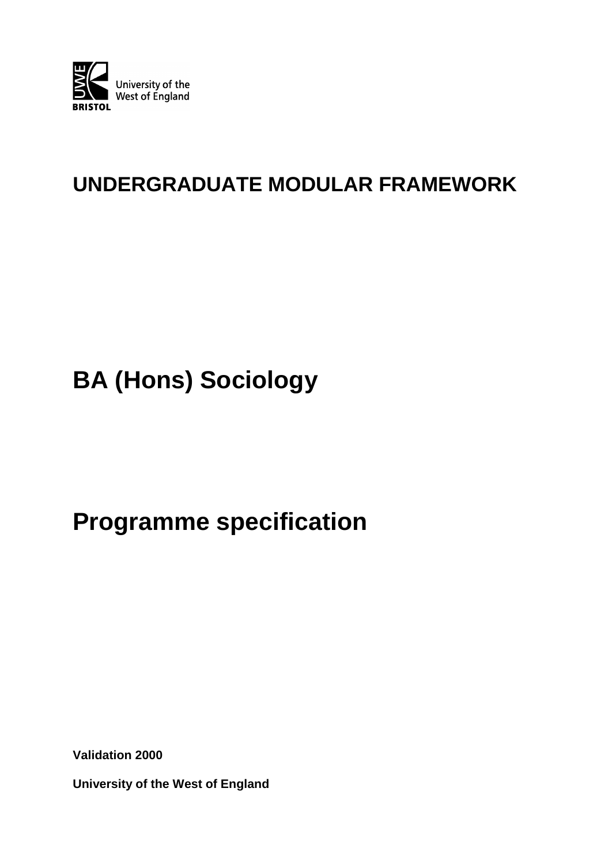

# **UNDERGRADUATE MODULAR FRAMEWORK**

# **BA (Hons) Sociology**

# **Programme specification**

**Validation 2000**

**University of the West of England**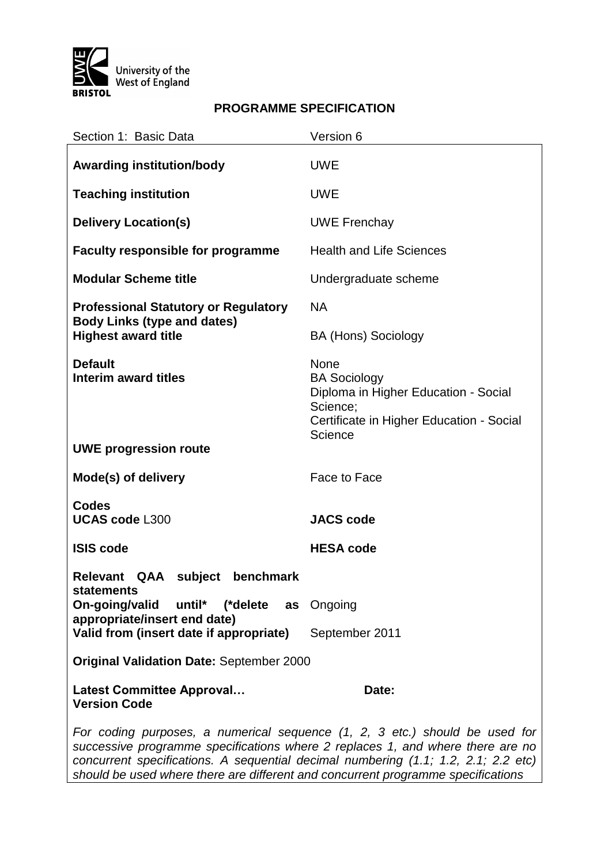

# **PROGRAMME SPECIFICATION**

| Section 1: Basic Data                                                                                                                                                                                                                                          | Version 6                                                                                                                              |  |
|----------------------------------------------------------------------------------------------------------------------------------------------------------------------------------------------------------------------------------------------------------------|----------------------------------------------------------------------------------------------------------------------------------------|--|
| <b>Awarding institution/body</b>                                                                                                                                                                                                                               | <b>UWE</b>                                                                                                                             |  |
| <b>Teaching institution</b>                                                                                                                                                                                                                                    | <b>UWE</b>                                                                                                                             |  |
| <b>Delivery Location(s)</b>                                                                                                                                                                                                                                    | <b>UWE Frenchay</b>                                                                                                                    |  |
| <b>Faculty responsible for programme</b>                                                                                                                                                                                                                       | <b>Health and Life Sciences</b>                                                                                                        |  |
| <b>Modular Scheme title</b>                                                                                                                                                                                                                                    | Undergraduate scheme                                                                                                                   |  |
| <b>Professional Statutory or Regulatory</b><br><b>Body Links (type and dates)</b>                                                                                                                                                                              | <b>NA</b>                                                                                                                              |  |
| <b>Highest award title</b>                                                                                                                                                                                                                                     | <b>BA (Hons) Sociology</b>                                                                                                             |  |
| <b>Default</b><br>Interim award titles<br><b>UWE progression route</b>                                                                                                                                                                                         | None<br><b>BA Sociology</b><br>Diploma in Higher Education - Social<br>Science;<br>Certificate in Higher Education - Social<br>Science |  |
| Mode(s) of delivery                                                                                                                                                                                                                                            | Face to Face                                                                                                                           |  |
| <b>Codes</b><br><b>UCAS code L300</b>                                                                                                                                                                                                                          | <b>JACS code</b>                                                                                                                       |  |
| <b>ISIS code</b>                                                                                                                                                                                                                                               | <b>HESA code</b>                                                                                                                       |  |
| Relevant QAA subject<br>benchmark<br>statements                                                                                                                                                                                                                |                                                                                                                                        |  |
| On-going/valid<br>until* (*delete as<br>appropriate/insert end date)                                                                                                                                                                                           | Ongoing                                                                                                                                |  |
| Valid from (insert date if appropriate)                                                                                                                                                                                                                        | September 2011                                                                                                                         |  |
| <b>Original Validation Date: September 2000</b>                                                                                                                                                                                                                |                                                                                                                                        |  |
| <b>Latest Committee Approval</b><br><b>Version Code</b>                                                                                                                                                                                                        | Date:                                                                                                                                  |  |
| For coding purposes, a numerical sequence (1, 2, 3 etc.) should be used for<br>successive programme specifications where 2 replaces 1, and where there are no<br>concurrent specifications. A sequential decimal numbering $(1.1: 1.2: 2.1: 2.2 \text{ etc.})$ |                                                                                                                                        |  |

*concurrent specifications. A sequential decimal numbering (1.1; 1.2, 2.1; 2.2 etc) should be used where there are different and concurrent programme specifications*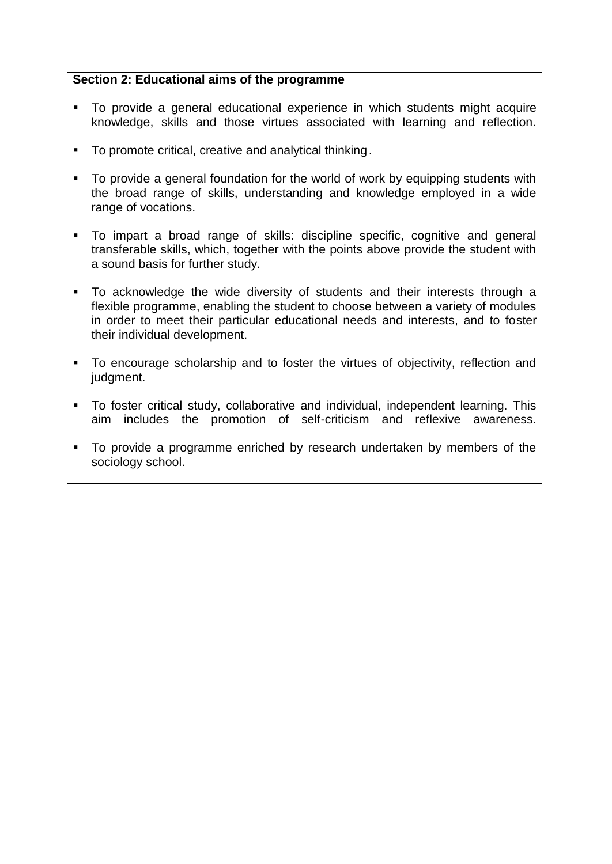### **Section 2: Educational aims of the programme**

- To provide a general educational experience in which students might acquire knowledge, skills and those virtues associated with learning and reflection.
- To promote critical, creative and analytical thinking.
- To provide a general foundation for the world of work by equipping students with the broad range of skills, understanding and knowledge employed in a wide range of vocations.
- To impart a broad range of skills: discipline specific, cognitive and general transferable skills, which, together with the points above provide the student with a sound basis for further study.
- To acknowledge the wide diversity of students and their interests through a flexible programme, enabling the student to choose between a variety of modules in order to meet their particular educational needs and interests, and to foster their individual development.
- To encourage scholarship and to foster the virtues of objectivity, reflection and judgment.
- To foster critical study, collaborative and individual, independent learning. This aim includes the promotion of self-criticism and reflexive awareness.
- To provide a programme enriched by research undertaken by members of the sociology school.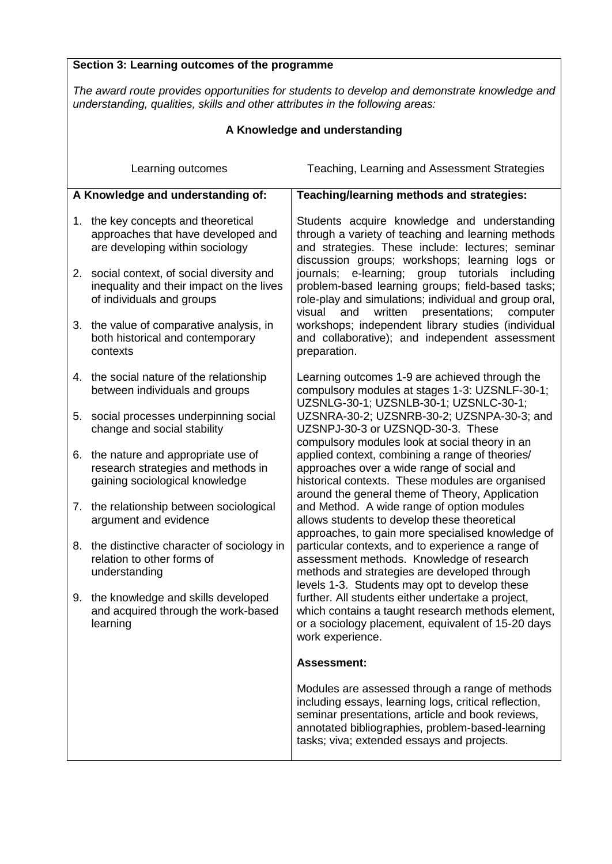## **Section 3: Learning outcomes of the programme**

*The award route provides opportunities for students to develop and demonstrate knowledge and understanding, qualities, skills and other attributes in the following areas:*

| A Knowledge and understanding |                                                                                                                     |                                                                                                                                                                                                                                                                |
|-------------------------------|---------------------------------------------------------------------------------------------------------------------|----------------------------------------------------------------------------------------------------------------------------------------------------------------------------------------------------------------------------------------------------------------|
|                               | Learning outcomes                                                                                                   | Teaching, Learning and Assessment Strategies                                                                                                                                                                                                                   |
|                               | A Knowledge and understanding of:                                                                                   | Teaching/learning methods and strategies:                                                                                                                                                                                                                      |
|                               | 1. the key concepts and theoretical<br>approaches that have developed and<br>are developing within sociology        | Students acquire knowledge and understanding<br>through a variety of teaching and learning methods<br>and strategies. These include: lectures; seminar<br>discussion groups; workshops; learning logs or                                                       |
|                               | 2. social context, of social diversity and<br>inequality and their impact on the lives<br>of individuals and groups | journals; e-learning;<br>group tutorials including<br>problem-based learning groups; field-based tasks;<br>role-play and simulations; individual and group oral,<br>written<br>presentations;<br>visual<br>and<br>computer                                     |
|                               | 3. the value of comparative analysis, in<br>both historical and contemporary<br>contexts                            | workshops; independent library studies (individual<br>and collaborative); and independent assessment<br>preparation.                                                                                                                                           |
|                               | 4. the social nature of the relationship<br>between individuals and groups                                          | Learning outcomes 1-9 are achieved through the<br>compulsory modules at stages 1-3: UZSNLF-30-1;<br>UZSNLG-30-1; UZSNLB-30-1; UZSNLC-30-1;                                                                                                                     |
|                               | 5. social processes underpinning social<br>change and social stability                                              | UZSNRA-30-2; UZSNRB-30-2; UZSNPA-30-3; and<br>UZSNPJ-30-3 or UZSNQD-30-3. These<br>compulsory modules look at social theory in an                                                                                                                              |
|                               | 6. the nature and appropriate use of<br>research strategies and methods in<br>gaining sociological knowledge        | applied context, combining a range of theories/<br>approaches over a wide range of social and<br>historical contexts. These modules are organised<br>around the general theme of Theory, Application                                                           |
|                               | 7. the relationship between sociological<br>argument and evidence                                                   | and Method. A wide range of option modules<br>allows students to develop these theoretical<br>approaches, to gain more specialised knowledge of                                                                                                                |
|                               | 8. the distinctive character of sociology in<br>relation to other forms of<br>understanding                         | particular contexts, and to experience a range of<br>assessment methods. Knowledge of research<br>methods and strategies are developed through<br>levels 1-3. Students may opt to develop these                                                                |
|                               | 9. the knowledge and skills developed<br>and acquired through the work-based<br>learning                            | further. All students either undertake a project,<br>which contains a taught research methods element,<br>or a sociology placement, equivalent of 15-20 days<br>work experience.                                                                               |
|                               |                                                                                                                     | <b>Assessment:</b>                                                                                                                                                                                                                                             |
|                               |                                                                                                                     | Modules are assessed through a range of methods<br>including essays, learning logs, critical reflection,<br>seminar presentations, article and book reviews,<br>annotated bibliographies, problem-based-learning<br>tasks; viva; extended essays and projects. |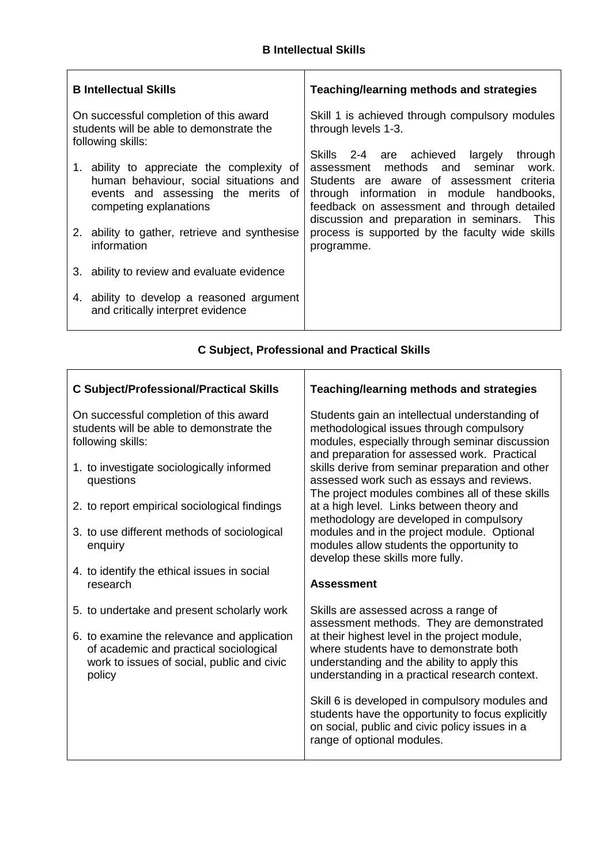$\mathbf{r}$ 

| <b>B</b> Intellectual Skills                  | Teaching/learning methods and strategies        |  |
|-----------------------------------------------|-------------------------------------------------|--|
| On successful completion of this award        | Skill 1 is achieved through compulsory modules  |  |
| students will be able to demonstrate the      | through levels 1-3.                             |  |
| following skills:                             | through                                         |  |
| 1. ability to appreciate the complexity of    | Skills 2-4 are achieved largely                 |  |
| human behaviour, social situations and        | assessment methods and seminar                  |  |
| events and assessing the merits of            | work.                                           |  |
| competing explanations                        | Students are aware of assessment criteria       |  |
| 2. ability to gather, retrieve and synthesise | through information in module handbooks,        |  |
| information                                   | feedback on assessment and through detailed     |  |
| 3. ability to review and evaluate evidence    | discussion and preparation in seminars. This    |  |
| 4. ability to develop a reasoned argument     | process is supported by the faculty wide skills |  |
| and critically interpret evidence             | programme.                                      |  |

# **C Subject, Professional and Practical Skills**

| <b>C Subject/Professional/Practical Skills</b>                                                                                                | <b>Teaching/learning methods and strategies</b>                                                                                                                                                   |  |
|-----------------------------------------------------------------------------------------------------------------------------------------------|---------------------------------------------------------------------------------------------------------------------------------------------------------------------------------------------------|--|
| On successful completion of this award<br>students will be able to demonstrate the<br>following skills:                                       | Students gain an intellectual understanding of<br>methodological issues through compulsory<br>modules, especially through seminar discussion                                                      |  |
| 1. to investigate sociologically informed<br>questions                                                                                        | and preparation for assessed work. Practical<br>skills derive from seminar preparation and other<br>assessed work such as essays and reviews.<br>The project modules combines all of these skills |  |
| 2. to report empirical sociological findings                                                                                                  | at a high level. Links between theory and<br>methodology are developed in compulsory                                                                                                              |  |
| 3. to use different methods of sociological<br>enquiry                                                                                        | modules and in the project module. Optional<br>modules allow students the opportunity to<br>develop these skills more fully.                                                                      |  |
| 4. to identify the ethical issues in social<br>research                                                                                       | <b>Assessment</b>                                                                                                                                                                                 |  |
| 5. to undertake and present scholarly work                                                                                                    | Skills are assessed across a range of<br>assessment methods. They are demonstrated                                                                                                                |  |
| 6. to examine the relevance and application<br>of academic and practical sociological<br>work to issues of social, public and civic<br>policy | at their highest level in the project module,<br>where students have to demonstrate both<br>understanding and the ability to apply this<br>understanding in a practical research context.         |  |
|                                                                                                                                               | Skill 6 is developed in compulsory modules and<br>students have the opportunity to focus explicitly<br>on social, public and civic policy issues in a<br>range of optional modules.               |  |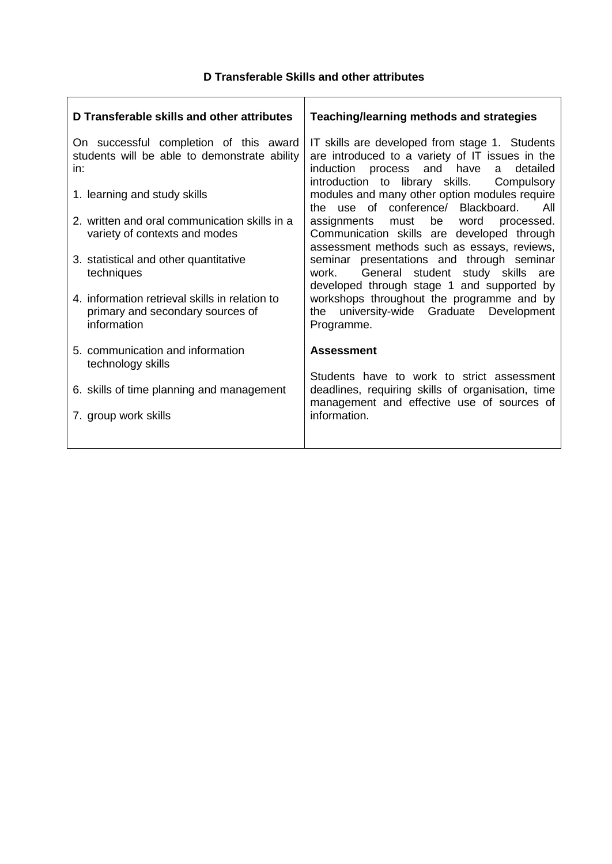## **D Transferable Skills and other attributes**

| D Transferable skills and other attributes                                                        | Teaching/learning methods and strategies                                                                                                                                                                |  |
|---------------------------------------------------------------------------------------------------|---------------------------------------------------------------------------------------------------------------------------------------------------------------------------------------------------------|--|
| On successful completion of this award<br>students will be able to demonstrate ability<br>in:     | IT skills are developed from stage 1. Students<br>are introduced to a variety of IT issues in the<br>and have<br>process<br>detailed<br>induction<br>a<br>introduction to library skills.<br>Compulsory |  |
| 1. learning and study skills                                                                      | modules and many other option modules require<br>the use of conference/ Blackboard.<br>All                                                                                                              |  |
| 2. written and oral communication skills in a<br>variety of contexts and modes                    | be word<br>assignments must<br>processed.<br>Communication skills are developed through<br>assessment methods such as essays, reviews,                                                                  |  |
| 3. statistical and other quantitative<br>techniques                                               | seminar presentations and through seminar<br>General student<br>study skills are<br>work.<br>developed through stage 1 and supported by                                                                 |  |
| 4. information retrieval skills in relation to<br>primary and secondary sources of<br>information | workshops throughout the programme and by<br>university-wide Graduate<br>Development<br>the<br>Programme.                                                                                               |  |
| 5. communication and information<br>technology skills                                             | <b>Assessment</b>                                                                                                                                                                                       |  |
| 6. skills of time planning and management                                                         | Students have to work to strict assessment<br>deadlines, requiring skills of organisation, time<br>management and effective use of sources of                                                           |  |
| 7. group work skills                                                                              | information.                                                                                                                                                                                            |  |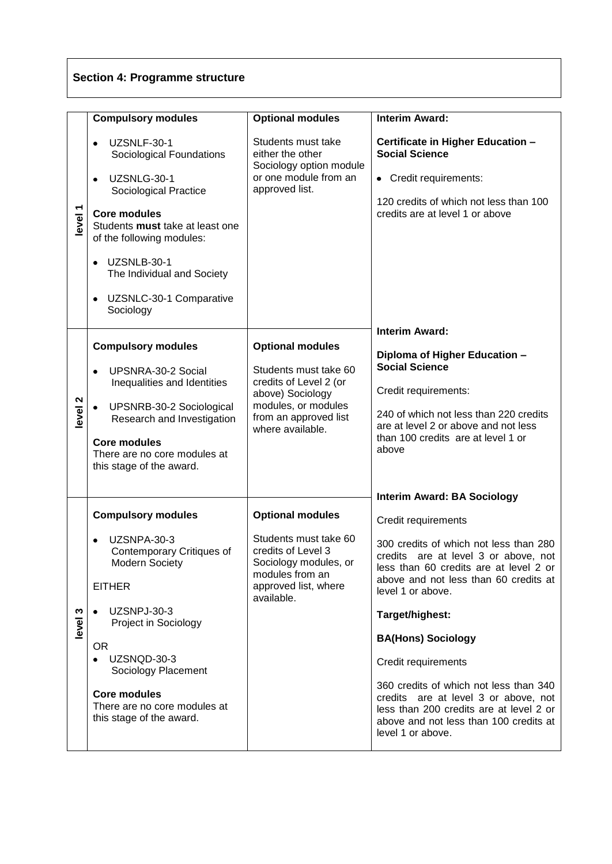# **Section 4: Programme structure**

|         | <b>Compulsory modules</b>                                                                                                                                                                                                                                                                                       | <b>Optional modules</b>                                                                                                                                            | <b>Interim Award:</b>                                                                                                                                                                                                                                                                                                                                                                                                                                                                                                  |
|---------|-----------------------------------------------------------------------------------------------------------------------------------------------------------------------------------------------------------------------------------------------------------------------------------------------------------------|--------------------------------------------------------------------------------------------------------------------------------------------------------------------|------------------------------------------------------------------------------------------------------------------------------------------------------------------------------------------------------------------------------------------------------------------------------------------------------------------------------------------------------------------------------------------------------------------------------------------------------------------------------------------------------------------------|
| level 1 | UZSNLF-30-1<br>$\bullet$<br>Sociological Foundations<br>UZSNLG-30-1<br>$\bullet$<br>Sociological Practice<br><b>Core modules</b><br>Students must take at least one<br>of the following modules:<br>UZSNLB-30-1<br>$\bullet$<br>The Individual and Society<br>UZSNLC-30-1 Comparative<br>$\bullet$<br>Sociology | Students must take<br>either the other<br>Sociology option module<br>or one module from an<br>approved list.                                                       | Certificate in Higher Education -<br><b>Social Science</b><br>• Credit requirements:<br>120 credits of which not less than 100<br>credits are at level 1 or above                                                                                                                                                                                                                                                                                                                                                      |
| level 2 | <b>Compulsory modules</b><br>UPSNRA-30-2 Social<br>Inequalities and Identities<br>$\bullet$<br>UPSNRB-30-2 Sociological<br>Research and Investigation<br><b>Core modules</b><br>There are no core modules at<br>this stage of the award.                                                                        | <b>Optional modules</b><br>Students must take 60<br>credits of Level 2 (or<br>above) Sociology<br>modules, or modules<br>from an approved list<br>where available. | <b>Interim Award:</b><br>Diploma of Higher Education -<br><b>Social Science</b><br>Credit requirements:<br>240 of which not less than 220 credits<br>are at level 2 or above and not less<br>than 100 credits are at level 1 or<br>above                                                                                                                                                                                                                                                                               |
| level 3 | <b>Compulsory modules</b><br>UZSNPA-30-3<br>$\bullet$<br>Contemporary Critiques of<br>Modern Society<br><b>EITHER</b><br><b>UZSNPJ-30-3</b><br>Project in Sociology<br><b>OR</b><br>UZSNQD-30-3<br>Sociology Placement<br><b>Core modules</b><br>There are no core modules at<br>this stage of the award.       | <b>Optional modules</b><br>Students must take 60<br>credits of Level 3<br>Sociology modules, or<br>modules from an<br>approved list, where<br>available.           | <b>Interim Award: BA Sociology</b><br>Credit requirements<br>300 credits of which not less than 280<br>credits are at level 3 or above, not<br>less than 60 credits are at level 2 or<br>above and not less than 60 credits at<br>level 1 or above.<br>Target/highest:<br><b>BA(Hons) Sociology</b><br>Credit requirements<br>360 credits of which not less than 340<br>credits are at level 3 or above, not<br>less than 200 credits are at level 2 or<br>above and not less than 100 credits at<br>level 1 or above. |